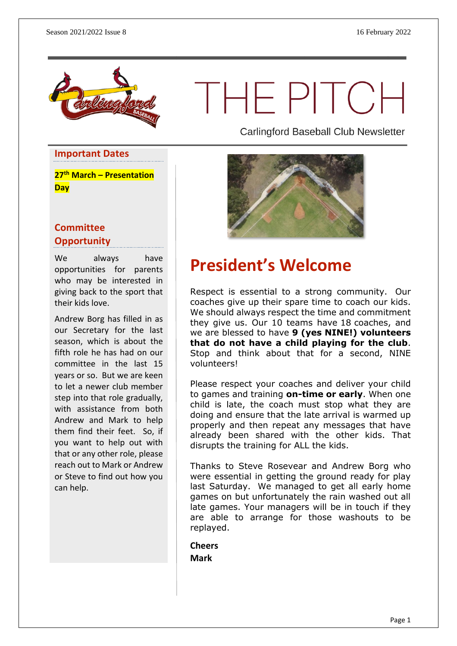

THEPITCH

**Important Dates**

**27th March – Presentation Day**

#### **Committee Opportunity**

We always have opportunities for parents who may be interested in giving back to the sport that their kids love.

Andrew Borg has filled in as our Secretary for the last season, which is about the fifth role he has had on our committee in the last 15 years or so. But we are keen to let a newer club member step into that role gradually, with assistance from both Andrew and Mark to help them find their feet. So, if you want to help out with that or any other role, please reach out to Mark or Andrew or Steve to find out how you can help.

Carlingford Baseball Club Newsletter



### **President's Welcome**

Respect is essential to a strong community. Our coaches give up their spare time to coach our kids. We should always respect the time and commitment they give us. Our 10 teams have 18 coaches, and we are blessed to have **9 (yes NINE!) volunteers that do not have a child playing for the club**. Stop and think about that for a second, NINE volunteers!

Please respect your coaches and deliver your child to games and training **on-time or early**. When one child is late, the coach must stop what they are doing and ensure that the late arrival is warmed up properly and then repeat any messages that have already been shared with the other kids. That disrupts the training for ALL the kids.

Thanks to Steve Rosevear and Andrew Borg who were essential in getting the ground ready for play last Saturday. We managed to get all early home games on but unfortunately the rain washed out all late games. Your managers will be in touch if they are able to arrange for those washouts to be replayed.

**Cheers Mark**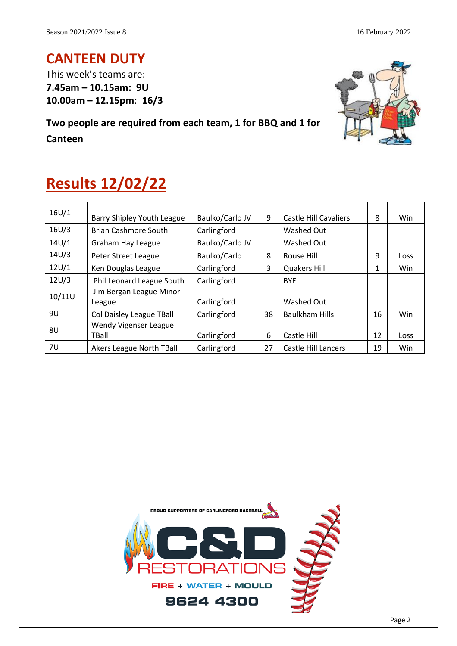### **CANTEEN DUTY**

This week's teams are: **7.45am – 10.15am: 9U 10.00am – 12.15pm**: **16/3**

**Two people are required from each team, 1 for BBQ and 1 for Canteen**



## **Results 12/02/22**

| 16U/1  | Barry Shipley Youth League        | Baulko/Carlo JV | 9  | <b>Castle Hill Cavaliers</b> | 8  | Win        |
|--------|-----------------------------------|-----------------|----|------------------------------|----|------------|
| 16U/3  | <b>Brian Cashmore South</b>       | Carlingford     |    | Washed Out                   |    |            |
| 14U/1  | Graham Hay League                 | Baulko/Carlo JV |    | Washed Out                   |    |            |
| 14U/3  | Peter Street League               | Baulko/Carlo    | 8  | Rouse Hill                   | 9  | Loss       |
| 12U/1  | Ken Douglas League                | Carlingford     | 3  | <b>Quakers Hill</b>          | 1  | <b>Win</b> |
| 12U/3  | Phil Leonard League South         | Carlingford     |    | <b>BYE</b>                   |    |            |
| 10/11U | Jim Bergan League Minor<br>League | Carlingford     |    | Washed Out                   |    |            |
| 9U     | Col Daisley League TBall          | Carlingford     | 38 | <b>Baulkham Hills</b>        | 16 | <b>Win</b> |
| 8U     | Wendy Vigenser League             |                 |    |                              |    |            |
|        | TBall                             | Carlingford     | 6  | Castle Hill                  | 12 | Loss       |
| 7U     | Akers League North TBall          | Carlingford     | 27 | <b>Castle Hill Lancers</b>   | 19 | Win        |

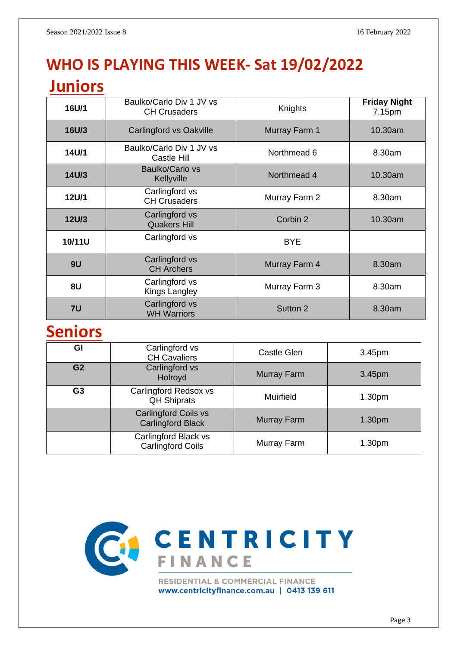# **WHO IS PLAYING THIS WEEK- Sat 19/02/2022**

### **Juniors**

| 16U/1        | Baulko/Carlo Div 1 JV vs<br><b>CH Crusaders</b> | Knights       | <b>Friday Night</b><br>7.15pm |  |
|--------------|-------------------------------------------------|---------------|-------------------------------|--|
| 16U/3        | <b>Carlingford vs Oakville</b>                  | Murray Farm 1 | 10.30am                       |  |
| 14U/1        | Baulko/Carlo Div 1 JV vs<br>Castle Hill         | Northmead 6   | 8.30am                        |  |
| 14U/3        | Baulko/Carlo vs<br>Kellyville                   | Northmead 4   | 10.30am                       |  |
| 12U/1        | Carlingford vs<br><b>CH Crusaders</b>           | Murray Farm 2 | 8.30am                        |  |
| <b>12U/3</b> | Carlingford vs<br><b>Quakers Hill</b>           | Corbin 2      | 10.30am                       |  |
| 10/11U       | Carlingford vs                                  | <b>BYE</b>    |                               |  |
| 9U           | Carlingford vs<br><b>CH Archers</b>             | Murray Farm 4 | 8.30am                        |  |
| 8U           | Carlingford vs<br>Kings Langley                 | Murray Farm 3 | 8.30am                        |  |
| 7U           | Carlingford vs<br><b>WH Warriors</b>            | Sutton 2      | 8.30am                        |  |

### **Seniors**

| GI             | Carlingford vs<br><b>CH Cavaliers</b>                   | Castle Glen      | 3.45pm             |
|----------------|---------------------------------------------------------|------------------|--------------------|
| G <sub>2</sub> | Carlingford vs<br>Holroyd                               | Murray Farm      | 3.45pm             |
| G <sub>3</sub> | Carlingford Redsox vs<br><b>QH Shiprats</b>             | <b>Muirfield</b> | 1.30 <sub>pm</sub> |
|                | <b>Carlingford Coils vs</b><br><b>Carlingford Black</b> | Murray Farm      | 1.30 <sub>pm</sub> |
|                | Carlingford Black vs<br><b>Carlingford Coils</b>        | Murray Farm      | 1.30 <sub>pm</sub> |

![](_page_2_Picture_7.jpeg)

www.centricityfinance.com.au | 0413 139 611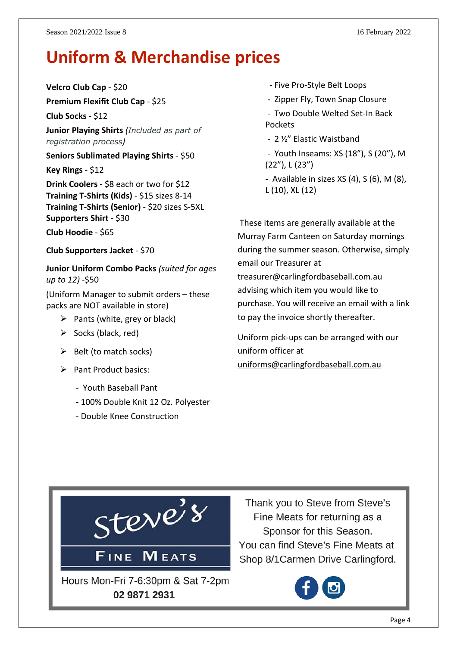## **Uniform & Merchandise prices**

**Velcro Club Cap** - \$20

**Premium Flexifit Club Cap** - \$25

**Club Socks** - \$12

**Junior Playing Shirts** *(Included as part of registration process)*

**Seniors Sublimated Playing Shirts** - \$50

**Key Rings** - \$12

**Drink Coolers** - \$8 each or two for \$12 **Training T-Shirts (Kids)** - \$15 sizes 8-14 **Training T-Shirts (Senior)** - \$20 sizes S-5XL **Supporters Shirt** - \$30

**Club Hoodie** - \$65

**Club Supporters Jacket** - \$70

**Junior Uniform Combo Packs** *(suited for ages up to 12)* -\$50

(Uniform Manager to submit orders – these packs are NOT available in store)

- $\triangleright$  Pants (white, grey or black)
- $\triangleright$  Socks (black, red)
- $\triangleright$  Belt (to match socks)
- ➢ Pant Product basics:
	- Youth Baseball Pant
	- 100% Double Knit 12 Oz. Polyester
	- Double Knee Construction
- Five Pro-Style Belt Loops
- Zipper Fly, Town Snap Closure
- Two Double Welted Set-In Back Pockets
- 2 ½" Elastic Waistband
- Youth Inseams: XS (18"), S (20"), M (22"), L (23")
- Available in sizes  $XS(4)$ ,  $S(6)$ ,  $M(8)$ , L (10), XL (12)

These items are generally available at the Murray Farm Canteen on Saturday mornings during the summer season. Otherwise, simply email our Treasurer at [treasurer@carlingfordbaseball.com.au](mailto:treasurer@carlingfordbaseball.com.au) advising which item you would like to purchase. You will receive an email with a link

Uniform pick-ups can be arranged with our uniform officer at [uniforms@carlingfordbaseball.com.au](mailto:uniforms@carlingfordbaseball.com.au)

to pay the invoice shortly thereafter.

![](_page_3_Picture_29.jpeg)

Thank you to Steve from Steve's Fine Meats for returning as a Sponsor for this Season. You can find Steve's Fine Meats at Shop 8/1 Carmen Drive Carlingford.

![](_page_3_Picture_31.jpeg)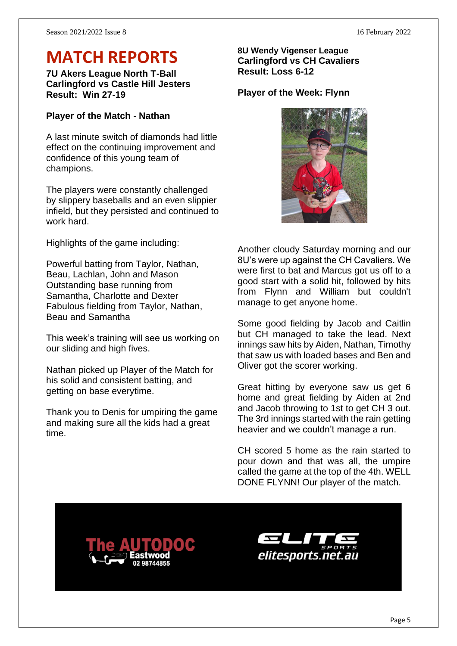## **MATCH REPORTS**

**7U Akers League North T-Ball Carlingford vs Castle Hill Jesters Result: Win 27-19**

#### **Player of the Match - Nathan**

A last minute switch of diamonds had little effect on the continuing improvement and confidence of this young team of champions.

The players were constantly challenged by slippery baseballs and an even slippier infield, but they persisted and continued to work hard.

Highlights of the game including:

Powerful batting from Taylor, Nathan, Beau, Lachlan, John and Mason Outstanding base running from Samantha, Charlotte and Dexter Fabulous fielding from Taylor, Nathan, Beau and Samantha

This week's training will see us working on our sliding and high fives.

Nathan picked up Player of the Match for his solid and consistent batting, and getting on base everytime.

Thank you to Denis for umpiring the game and making sure all the kids had a great time.

#### **8U Wendy Vigenser League Carlingford vs CH Cavaliers Result: Loss 6-12**

#### **Player of the Week: Flynn**

![](_page_4_Picture_14.jpeg)

Another cloudy Saturday morning and our 8U's were up against the CH Cavaliers. We were first to bat and Marcus got us off to a good start with a solid hit, followed by hits from Flynn and William but couldn't manage to get anyone home.

Some good fielding by Jacob and Caitlin but CH managed to take the lead. Next innings saw hits by Aiden, Nathan, Timothy that saw us with loaded bases and Ben and Oliver got the scorer working.

Great hitting by everyone saw us get 6 home and great fielding by Aiden at 2nd and Jacob throwing to 1st to get CH 3 out. The 3rd innings started with the rain getting heavier and we couldn't manage a run.

CH scored 5 home as the rain started to pour down and that was all, the umpire called the game at the top of the 4th. WELL DONE FLYNN! Our player of the match.

![](_page_4_Picture_19.jpeg)

![](_page_4_Picture_20.jpeg)